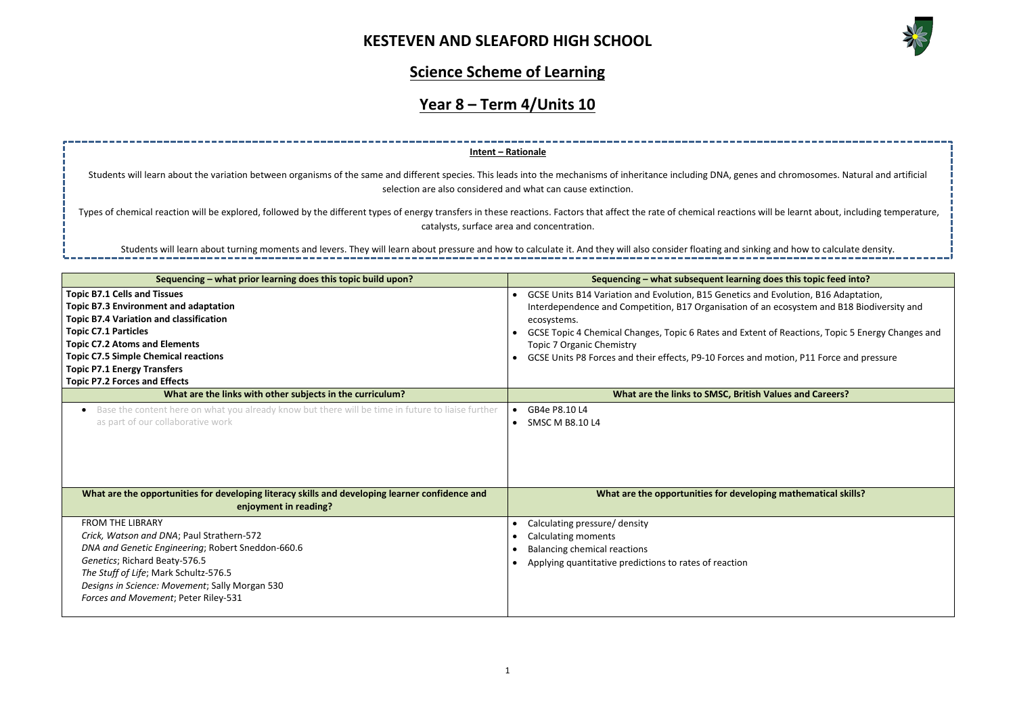

| d chromosomes. Natural and artificial      |
|--------------------------------------------|
|                                            |
|                                            |
| Il be learnt about, including temperature, |
|                                            |
| gand how to calculate density.             |
|                                            |
| oes this topic feed into?                  |
| Evolution, B16 Adaptation,                 |
| ecosystem and B18 Biodiversity and         |
| of Reactions, Topic 5 Energy Changes and   |
|                                            |
| notion, P11 Force and pressure             |
|                                            |
| 'alues and Careers?                        |
|                                            |
|                                            |
|                                            |
|                                            |
|                                            |
| ng mathematical skills?                    |
|                                            |
|                                            |
|                                            |
|                                            |
|                                            |
|                                            |
|                                            |
|                                            |

**Sequencing – what prior learning does this topic build upon? Sequencing – what subsequent learning does this topic feed into? Topic B7.1 Cells and Tissues Topic B7.3 Environment and adaptation Topic B7.4 Variation and classification Topic C7.1 Particles Topic C7.2 Atoms and Elements Topic C7.5 Simple Chemical reactions** • GCSE Units B14 Variation and Evolution, B15 Genetics and Interdependence and Competition, B17 Organisation of an ecosystems. • GCSE Topic 4 Chemical Changes, Topic 6 Rates and Extent Topic 7 Organic Chemistry GCSE Units P8 Forces and their effects, P9-10 Forces and motion, P11 Force and motion, P11 Force and pressure **Intent – Rationale** Students will learn about the variation between organisms of the same and different species. This leads into the mechanisms of inheritance including DNA, genes an selection are also considered and what can cause extinction. Types of chemical reaction will be explored, followed by the different types of energy transfers in these reactions. Factors that affect the rate of chemical reactions will catalysts, surface area and concentration. Students will learn about turning moments and levers. They will learn about pressure and how to calculate it. And they will also consider floating and sinking

### **Science Scheme of Learning**

## **Year 8 – Term 4/Units 10**

| i opic C7:5 Simple Chemical Feactions<br><b>Topic P7.1 Energy Transfers</b><br><b>Topic P7.2 Forces and Effects</b>                    | OCSE UTIILS P8 FORCES and their effects, P9-10 Forces and motion, P11 Force and p |
|----------------------------------------------------------------------------------------------------------------------------------------|-----------------------------------------------------------------------------------|
| What are the links with other subjects in the curriculum?                                                                              | What are the links to SMSC, British Values and Careers?                           |
| Base the content here on what you already know but there will be time in future to liaise further<br>as part of our collaborative work | GB4e P8.10 L4<br><b>SMSC M B8.10 L4</b>                                           |
| What are the opportunities for developing literacy skills and developing learner confidence and<br>enjoyment in reading?               | What are the opportunities for developing mathematical skills?                    |
| <b>FROM THE LIBRARY</b>                                                                                                                | Calculating pressure/ density                                                     |
| Crick, Watson and DNA; Paul Strathern-572                                                                                              | <b>Calculating moments</b>                                                        |
| DNA and Genetic Engineering; Robert Sneddon-660.6                                                                                      | Balancing chemical reactions                                                      |
| Genetics; Richard Beaty-576.5                                                                                                          | Applying quantitative predictions to rates of reaction                            |
| The Stuff of Life; Mark Schultz-576.5                                                                                                  |                                                                                   |
| Designs in Science: Movement; Sally Morgan 530                                                                                         |                                                                                   |
| Forces and Movement; Peter Riley-531                                                                                                   |                                                                                   |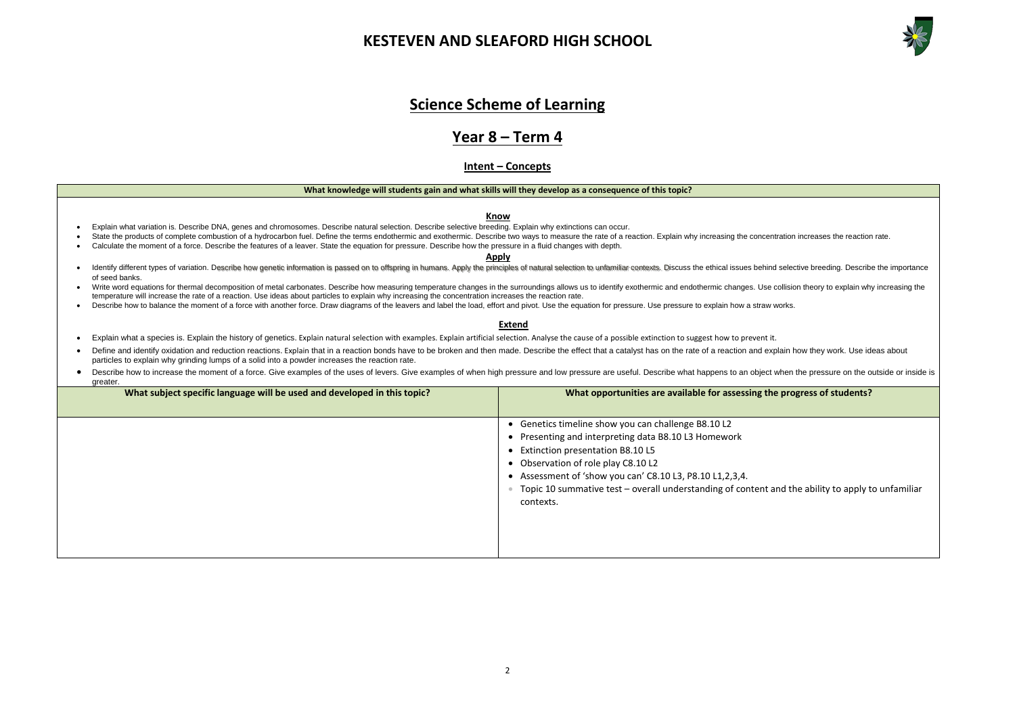

**We progress of students?** 

and the ability to apply to unfamiliar

### **Science Scheme of Learning**

### **Year 8 – Term 4**

### **Intent – Concepts**

#### **What knowledge will students gain and what skills will they develop as a consequence of this topic?**

#### **Know**

- Explain what variation is. Describe DNA, genes and chromosomes. Describe natural selection. Describe selective breeding. Explain why extinctions can occur.
- State the products of complete combustion of a hydrocarbon fuel. Define the terms endothermic and exothermic. Describe two ways to measure the rate of a reaction. Explain why increasing the concentration increases the re
- Calculate the moment of a force. Describe the features of a leaver. State the equation for pressure. Describe how the pressure in a fluid changes with depth. **Apply**

#### • Identify different types of variation. Describe how genetic information is passed on to offspring in humans. Apply the principles of natural selection to unfamiliar contexts. Discuss the ethical issues behind selective b of seed banks.

- Write word equations for thermal decomposition of metal carbonates. Describe how measuring temperature changes in the surroundings allows us to identify exothermic and endothermic changes. Use collision theory to explain w temperature will increase the rate of a reaction. Use ideas about particles to explain why increasing the concentration increases the reaction rate.
- Describe how to balance the moment of a force with another force. Draw diagrams of the leavers and label the load, effort and pivot. Use the equation for pressure. Use pressure to explain how a straw works.

#### **Extend**

- Explain what a species is. Explain the history of genetics. Explain natural selection with examples. Explain artificial selection. Analyse the cause of a possible extinction to suggest how to prevent it.
- Define and identify oxidation and reduction reactions. Explain that in a reaction bonds have to be broken and then made. Describe the effect that a catalyst has on the rate of a reaction and explain how they work. Use id particles to explain why grinding lumps of a solid into a powder increases the reaction rate.
- Describe how to increase the moment of a force. Give examples of the uses of levers. Give examples of when high pressure and low pressure are useful. Describe what happens to an object when the pressure on the outside or greater.

| What subject specific language will be used and developed in this topic? | What opportunities are available for assessing the                                                                                                                                                                                                                                                                                                                               |  |  |
|--------------------------------------------------------------------------|----------------------------------------------------------------------------------------------------------------------------------------------------------------------------------------------------------------------------------------------------------------------------------------------------------------------------------------------------------------------------------|--|--|
|                                                                          | Genetics timeline show you can challenge B8.10 L2<br>$\bullet$<br>Presenting and interpreting data B8.10 L3 Homework<br>$\bullet$<br>• Extinction presentation B8.10 L5<br>Observation of role play C8.10 L2<br>$\bullet$<br>Assessment of 'show you can' C8.10 L3, P8.10 L1, 2, 3, 4.<br>$\bullet$<br>Topic 10 summative test - overall understanding of content a<br>contexts. |  |  |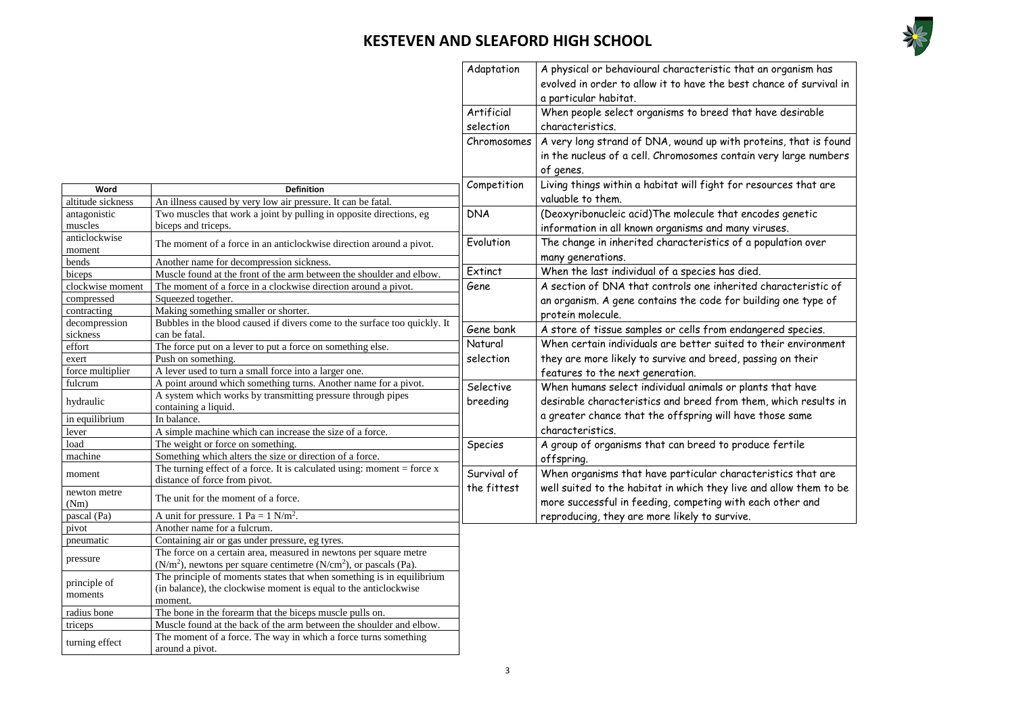

nance of survival in

teins, that is found very large numbers

characteristic of ding one type of

ered species. their environment  $\mathop{\mathsf{sing}}\nolimits$  on their

ts that have n, which results in those same

ristics that are id allow them to be ch other and

|                         |                                                                                     | Adaptation     | A physical or behavioural characteristic that an organism has<br>evolved in order to allow it to have the best chance of surviva<br>a particular habitat. |
|-------------------------|-------------------------------------------------------------------------------------|----------------|-----------------------------------------------------------------------------------------------------------------------------------------------------------|
|                         |                                                                                     | Artificial     | When people select organisms to breed that have desirable                                                                                                 |
|                         |                                                                                     | selection      | characteristics.                                                                                                                                          |
|                         |                                                                                     | Chromosomes    | A very long strand of DNA, wound up with proteins, that is fo<br>in the nucleus of a cell. Chromosomes contain very large numbe<br>of genes.              |
| Word                    | <b>Definition</b>                                                                   | Competition    | Living things within a habitat will fight for resources that are                                                                                          |
| altitude sickness       | An illness caused by very low air pressure. It can be fatal.                        |                | valuable to them.                                                                                                                                         |
| antagonistic            | Two muscles that work a joint by pulling in opposite directions, eg                 | <b>DNA</b>     | (Deoxyribonucleic acid) The molecule that encodes genetic                                                                                                 |
| muscles                 | biceps and triceps.                                                                 |                |                                                                                                                                                           |
| anticlockwise           |                                                                                     |                | information in all known organisms and many viruses.                                                                                                      |
| moment                  | The moment of a force in an anticlockwise direction around a pivot.                 | Evolution      | The change in inherited characteristics of a population over                                                                                              |
| bends                   | Another name for decompression sickness.                                            |                | many generations.                                                                                                                                         |
| biceps                  | Muscle found at the front of the arm between the shoulder and elbow.                | Extinct        | When the last individual of a species has died.                                                                                                           |
| clockwise moment        | The moment of a force in a clockwise direction around a pivot.                      | Gene           | A section of DNA that controls one inherited characteristic of                                                                                            |
| compressed              | Squeezed together.                                                                  |                | an organism. A gene contains the code for building one type of                                                                                            |
| contracting             | Making something smaller or shorter.                                                |                | protein molecule.                                                                                                                                         |
| decompression           | Bubbles in the blood caused if divers come to the surface too quickly. It           | Gene bank      | A store of tissue samples or cells from endangered species.                                                                                               |
| sickness                | can be fatal.                                                                       |                |                                                                                                                                                           |
| effort                  | The force put on a lever to put a force on something else.                          | Natural        | When certain individuals are better suited to their environme                                                                                             |
| exert                   | Push on something.                                                                  | selection      | they are more likely to survive and breed, passing on their                                                                                               |
| force multiplier        | A lever used to turn a small force into a larger one.                               |                | features to the next generation.                                                                                                                          |
| fulcrum                 | A point around which something turns. Another name for a pivot.                     | Selective      | When humans select individual animals or plants that have                                                                                                 |
| hydraulic               | A system which works by transmitting pressure through pipes<br>containing a liquid. | breeding       | desirable characteristics and breed from them, which results                                                                                              |
| in equilibrium          | In balance.                                                                         |                | a greater chance that the offspring will have those same                                                                                                  |
| lever                   | A simple machine which can increase the size of a force.                            |                | characteristics.                                                                                                                                          |
| load                    | The weight or force on something.                                                   | <b>Species</b> | A group of organisms that can breed to produce fertile                                                                                                    |
| machine                 | Something which alters the size or direction of a force.                            |                | offspring.                                                                                                                                                |
|                         | The turning effect of a force. It is calculated using: moment = force $x$           | Survival of    | When organisms that have particular characteristics that are                                                                                              |
| moment                  | distance of force from pivot.                                                       |                |                                                                                                                                                           |
| newton metre<br>(Nm)    | The unit for the moment of a force.                                                 | the fittest    | well suited to the habitat in which they live and allow them to<br>more successful in feeding, competing with each other and                              |
| pascal (Pa)             | A unit for pressure. 1 Pa = $1$ N/m <sup>2</sup> .                                  |                | reproducing, they are more likely to survive.                                                                                                             |
| pivot                   | Another name for a fulcrum.                                                         |                |                                                                                                                                                           |
| pneumatic               | Containing air or gas under pressure, eg tyres.                                     |                |                                                                                                                                                           |
|                         | The force on a certain area, measured in newtons per square metre                   |                |                                                                                                                                                           |
| pressure                | $(N/m2)$ , newtons per square centimetre $(N/cm2)$ , or pascals (Pa).               |                |                                                                                                                                                           |
|                         | The principle of moments states that when something is in equilibrium               |                |                                                                                                                                                           |
| principle of<br>moments | (in balance), the clockwise moment is equal to the anticlockwise                    |                |                                                                                                                                                           |
|                         | moment.                                                                             |                |                                                                                                                                                           |
| radius bone             | The bone in the forearm that the biceps muscle pulls on.                            |                |                                                                                                                                                           |
| triceps                 | Muscle found at the back of the arm between the shoulder and elbow.                 |                |                                                                                                                                                           |
| turning effect          | The moment of a force. The way in which a force turns something                     |                |                                                                                                                                                           |
|                         | around a pivot.                                                                     |                |                                                                                                                                                           |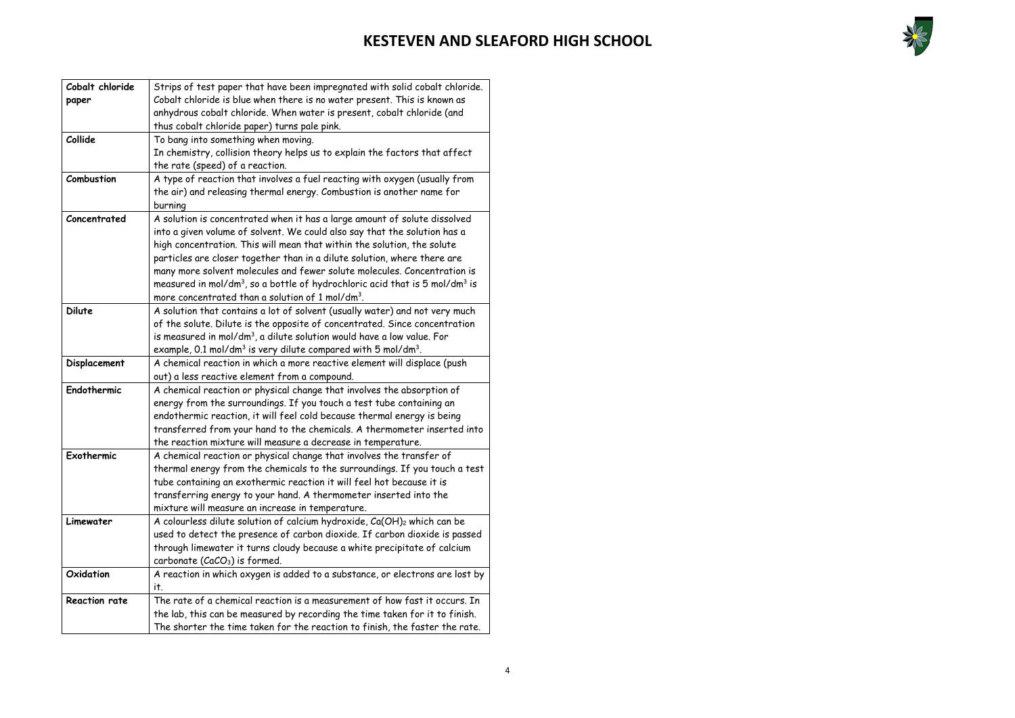

| Cobalt chloride      | Strips of test paper that have been impregnated with solid cobalt chloride.                         |
|----------------------|-----------------------------------------------------------------------------------------------------|
| paper                | Cobalt chloride is blue when there is no water present. This is known as                            |
|                      | anhydrous cobalt chloride. When water is present, cobalt chloride (and                              |
|                      | thus cobalt chloride paper) turns pale pink.                                                        |
| Collide              | To bang into something when moving.                                                                 |
|                      | In chemistry, collision theory helps us to explain the factors that affect                          |
|                      | the rate (speed) of a reaction.                                                                     |
| Combustion           | A type of reaction that involves a fuel reacting with oxygen (usually from                          |
|                      | the air) and releasing thermal energy. Combustion is another name for                               |
|                      | burning                                                                                             |
| Concentrated         | A solution is concentrated when it has a large amount of solute dissolved                           |
|                      | into a given volume of solvent. We could also say that the solution has a                           |
|                      | high concentration. This will mean that within the solution, the solute                             |
|                      | particles are closer together than in a dilute solution, where there are                            |
|                      | many more solvent molecules and fewer solute molecules. Concentration is                            |
|                      | measured in mol/dm <sup>3</sup> , so a bottle of hydrochloric acid that is 5 mol/dm <sup>3</sup> is |
|                      | more concentrated than a solution of 1 mol/dm <sup>3</sup> .                                        |
| <b>Dilute</b>        | A solution that contains a lot of solvent (usually water) and not very much                         |
|                      | of the solute. Dilute is the opposite of concentrated. Since concentration                          |
|                      | is measured in mol/dm <sup>3</sup> , a dilute solution would have a low value. For                  |
|                      | example, 0.1 mol/dm <sup>3</sup> is very dilute compared with 5 mol/dm <sup>3</sup> .               |
| Displacement         | A chemical reaction in which a more reactive element will displace (push                            |
|                      | out) a less reactive element from a compound.                                                       |
| Endothermic          | A chemical reaction or physical change that involves the absorption of                              |
|                      | energy from the surroundings. If you touch a test tube containing an                                |
|                      | endothermic reaction, it will feel cold because thermal energy is being                             |
|                      | transferred from your hand to the chemicals. A thermometer inserted into                            |
|                      | the reaction mixture will measure a decrease in temperature.                                        |
| Exothermic           | A chemical reaction or physical change that involves the transfer of                                |
|                      | thermal energy from the chemicals to the surroundings. If you touch a test                          |
|                      | tube containing an exothermic reaction it will feel hot because it is                               |
|                      | transferring energy to your hand. A thermometer inserted into the                                   |
|                      | mixture will measure an increase in temperature.                                                    |
| Limewater            | A colourless dilute solution of calcium hydroxide, Ca(OH) <sub>2</sub> which can be                 |
|                      | used to detect the presence of carbon dioxide. If carbon dioxide is passed                          |
|                      | through limewater it turns cloudy because a white precipitate of calcium                            |
|                      | carbonate (CaCO <sub>3</sub> ) is formed.                                                           |
| Oxidation            | A reaction in which oxygen is added to a substance, or electrons are lost by                        |
|                      | it.                                                                                                 |
| <b>Reaction rate</b> | The rate of a chemical reaction is a measurement of how fast it occurs. In                          |
|                      | the lab, this can be measured by recording the time taken for it to finish.                         |
|                      | The shorter the time taken for the reaction to finish, the faster the rate.                         |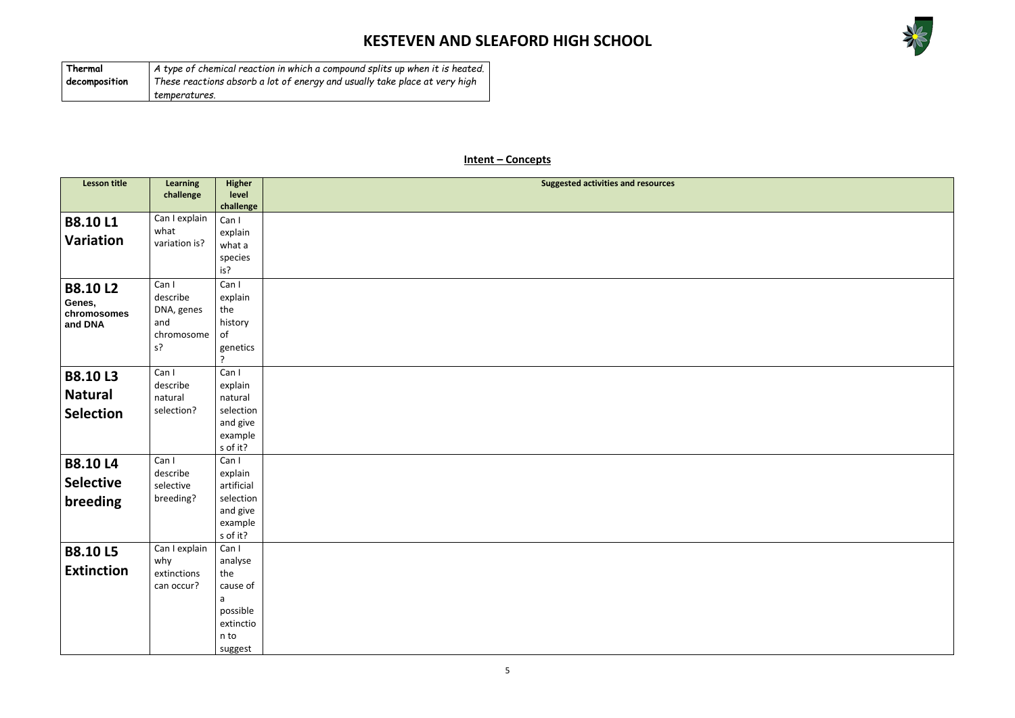

### **Intent – Concepts**

| <b>Lesson title</b> | <b>Learning</b> | <b>Higher</b>  | <b>Suggested activities and resources</b> |
|---------------------|-----------------|----------------|-------------------------------------------|
|                     | challenge       | level          |                                           |
|                     |                 | challenge      |                                           |
|                     | Can I explain   | Can I          |                                           |
| <b>B8.10L1</b>      | what            | explain        |                                           |
| <b>Variation</b>    | variation is?   | what a         |                                           |
|                     |                 |                |                                           |
|                     |                 | species<br>is? |                                           |
|                     |                 |                |                                           |
| <b>B8.10L2</b>      | Can I           | Can I          |                                           |
| Genes,              | describe        | explain        |                                           |
| chromosomes         | DNA, genes      | the            |                                           |
| and DNA             | and             | history        |                                           |
|                     | chromosome      | of             |                                           |
|                     | $s$ ?           | genetics       |                                           |
|                     |                 | ?              |                                           |
| <b>B8.10L3</b>      | Can I           | Can I          |                                           |
|                     | describe        | explain        |                                           |
| <b>Natural</b>      | natural         | natural        |                                           |
| <b>Selection</b>    | selection?      | selection      |                                           |
|                     |                 | and give       |                                           |
|                     |                 | example        |                                           |
|                     |                 | s of it?       |                                           |
| <b>B8.10L4</b>      | Can I           | Can I          |                                           |
|                     | describe        | explain        |                                           |
| <b>Selective</b>    | selective       | artificial     |                                           |
| breeding            | breeding?       | selection      |                                           |
|                     |                 | and give       |                                           |
|                     |                 | example        |                                           |
|                     |                 | s of it?       |                                           |
| <b>B8.10L5</b>      | Can I explain   | Can I          |                                           |
|                     | why             | analyse        |                                           |
| <b>Extinction</b>   | extinctions     | the            |                                           |
|                     | can occur?      | cause of       |                                           |
|                     |                 | a              |                                           |
|                     |                 | possible       |                                           |
|                     |                 | extinctio      |                                           |
|                     |                 | n to           |                                           |
|                     |                 | suggest        |                                           |

| Thermal       | A type of chemical reaction in which a compound splits up when it is heated. |
|---------------|------------------------------------------------------------------------------|
| decomposition | These reactions absorb a lot of energy and usually take place at very high   |
|               | temperatures.                                                                |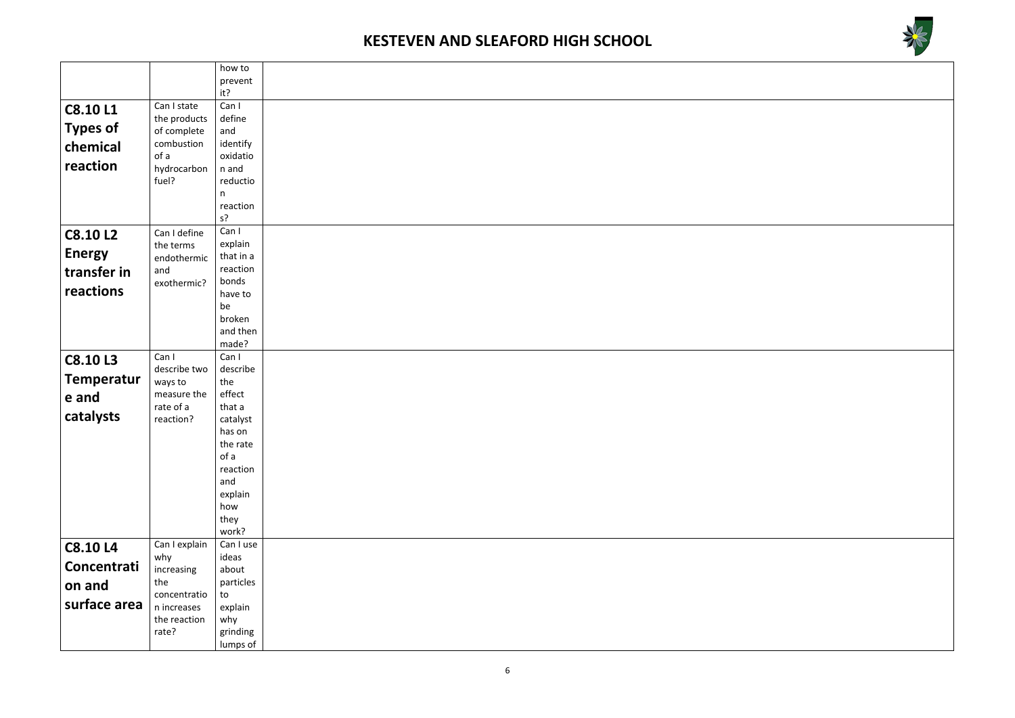



|                   |                    | how to            |  |
|-------------------|--------------------|-------------------|--|
|                   |                    | prevent           |  |
|                   |                    | it?               |  |
| <b>C8.10 L1</b>   | Can I state        | Can I             |  |
|                   | the products       | define            |  |
| <b>Types of</b>   | of complete        | and               |  |
| chemical          | combustion         | identify          |  |
| reaction          | of a               | oxidatio          |  |
|                   | hydrocarbon        | n and             |  |
|                   | fuel?              | reductio          |  |
|                   |                    | n                 |  |
|                   |                    | reaction<br>$s$ ? |  |
|                   |                    | Can I             |  |
| <b>C8.10 L2</b>   | Can I define       | explain           |  |
| <b>Energy</b>     | the terms          | that in a         |  |
|                   | endothermic<br>and | reaction          |  |
| transfer in       | exothermic?        | bonds             |  |
| reactions         |                    | have to           |  |
|                   |                    | be                |  |
|                   |                    | broken            |  |
|                   |                    | and then          |  |
|                   |                    | made?             |  |
| <b>C8.10L3</b>    | Can I              | Can I             |  |
|                   | describe two       | describe          |  |
| <b>Temperatur</b> | ways to            | the               |  |
| e and             | measure the        | effect            |  |
|                   | rate of a          | that a            |  |
| catalysts         | reaction?          | catalyst          |  |
|                   |                    | has on            |  |
|                   |                    | the rate          |  |
|                   |                    | of a              |  |
|                   |                    | reaction<br>and   |  |
|                   |                    | explain           |  |
|                   |                    | how               |  |
|                   |                    | they              |  |
|                   |                    | work?             |  |
| <b>C8.10 L4</b>   | Can I explain      | Can I use         |  |
|                   | why                | ideas             |  |
| Concentrati       | increasing         | about             |  |
| on and            | the                | particles         |  |
|                   | concentratio       | to                |  |
| surface area      | n increases        | explain           |  |
|                   | the reaction       | why               |  |
|                   | rate?              | grinding          |  |
|                   |                    | lumps of          |  |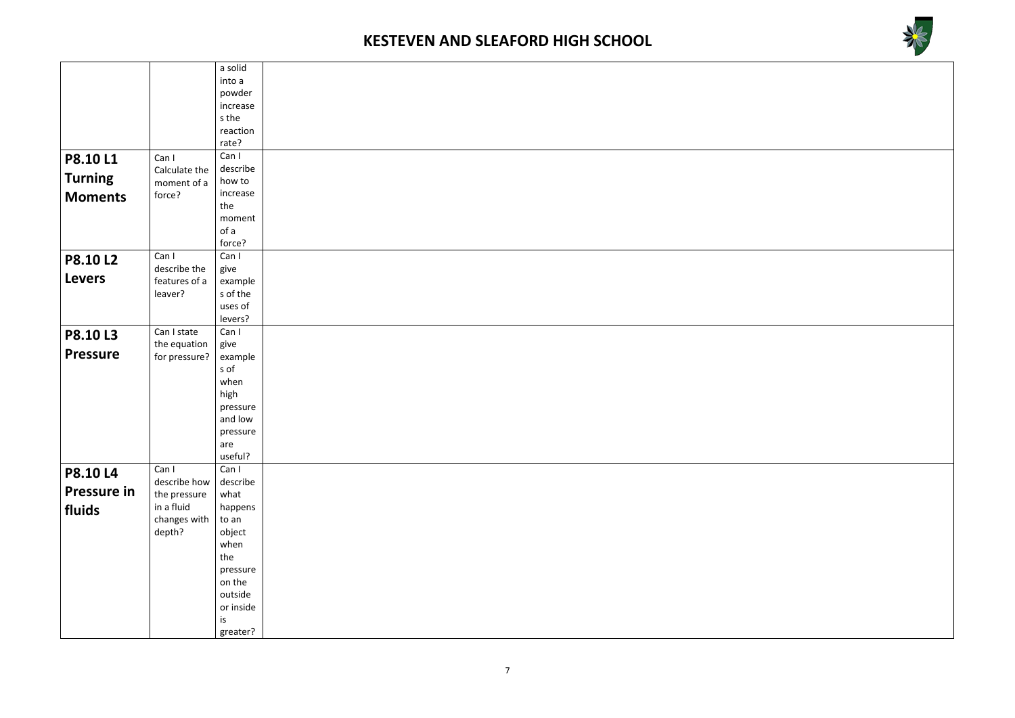



|                 |               | a solid            |
|-----------------|---------------|--------------------|
|                 |               | into a             |
|                 |               | powder             |
|                 |               | increase           |
|                 |               | s the              |
|                 |               | reaction           |
|                 |               | rate?              |
| P8.10L1         | Can I         | Can I              |
|                 | Calculate the | describe           |
| <b>Turning</b>  | moment of a   | how to             |
| <b>Moments</b>  | force?        | increase           |
|                 |               | the                |
|                 |               | moment             |
|                 |               | of a               |
|                 |               | force?             |
| <b>P8.10L2</b>  | Can I         | Can I              |
| <b>Levers</b>   | describe the  | give               |
|                 | features of a | example            |
|                 | leaver?       | s of the           |
|                 |               | uses of<br>levers? |
|                 | Can I state   | Can I              |
| <b>P8.10L3</b>  | the equation  | give               |
| <b>Pressure</b> | for pressure? | example            |
|                 |               | s of               |
|                 |               | when               |
|                 |               | high               |
|                 |               | pressure           |
|                 |               | and low            |
|                 |               | pressure           |
|                 |               | are                |
|                 |               | useful?            |
| <b>P8.10 L4</b> | Can I         | Can I              |
|                 | describe how  | describe           |
| Pressure in     | the pressure  | what               |
| fluids          | in a fluid    | happens            |
|                 | changes with  | to an              |
|                 | depth?        | object             |
|                 |               | when               |
|                 |               | the                |
|                 |               | pressure           |
|                 |               | on the             |
|                 |               | outside            |
|                 |               | or inside          |
|                 |               | is                 |
|                 |               | greater?           |